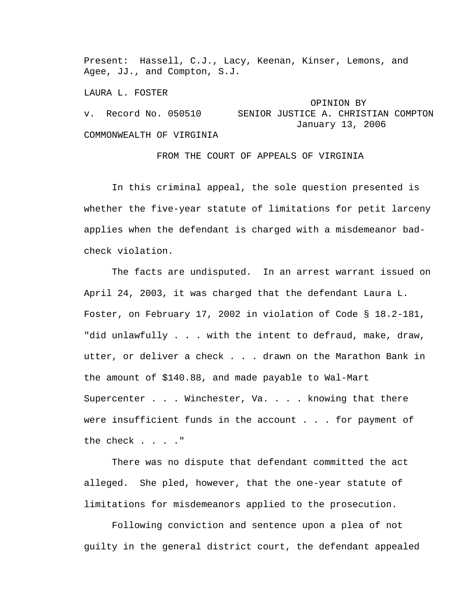Present: Hassell, C.J., Lacy, Keenan, Kinser, Lemons, and Agee, JJ., and Compton, S.J.

LAURA L. FOSTER

 OPINION BY v. Record No. 050510 SENIOR JUSTICE A. CHRISTIAN COMPTON January 13, 2006 COMMONWEALTH OF VIRGINIA

FROM THE COURT OF APPEALS OF VIRGINIA

 In this criminal appeal, the sole question presented is whether the five-year statute of limitations for petit larceny applies when the defendant is charged with a misdemeanor badcheck violation.

 The facts are undisputed. In an arrest warrant issued on April 24, 2003, it was charged that the defendant Laura L. Foster, on February 17, 2002 in violation of Code § 18.2-181, "did unlawfully . . . with the intent to defraud, make, draw, utter, or deliver a check . . . drawn on the Marathon Bank in the amount of \$140.88, and made payable to Wal-Mart Supercenter . . . Winchester, Va. . . . knowing that there were insufficient funds in the account . . . for payment of the check . . . ."

 There was no dispute that defendant committed the act alleged. She pled, however, that the one-year statute of limitations for misdemeanors applied to the prosecution.

 Following conviction and sentence upon a plea of not guilty in the general district court, the defendant appealed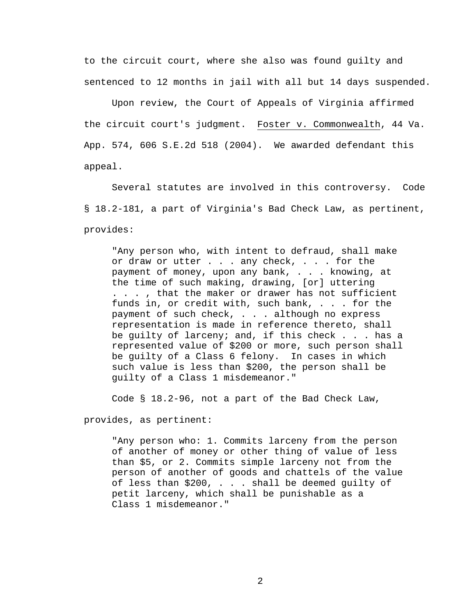to the circuit court, where she also was found guilty and sentenced to 12 months in jail with all but 14 days suspended.

 Upon review, the Court of Appeals of Virginia affirmed the circuit court's judgment. Foster v. Commonwealth, 44 Va. App. 574, 606 S.E.2d 518 (2004). We awarded defendant this appeal.

 Several statutes are involved in this controversy. Code § 18.2-181, a part of Virginia's Bad Check Law, as pertinent, provides:

"Any person who, with intent to defraud, shall make or draw or utter . . . any check, . . . for the payment of money, upon any bank, . . . knowing, at the time of such making, drawing, [or] uttering . . . , that the maker or drawer has not sufficient funds in, or credit with, such bank, . . . for the payment of such check, . . . although no express representation is made in reference thereto, shall be guilty of larceny; and, if this check . . . has a represented value of \$200 or more, such person shall be guilty of a Class 6 felony. In cases in which such value is less than \$200, the person shall be guilty of a Class 1 misdemeanor."

Code § 18.2-96, not a part of the Bad Check Law,

provides, as pertinent:

"Any person who: 1. Commits larceny from the person of another of money or other thing of value of less than \$5, or 2. Commits simple larceny not from the person of another of goods and chattels of the value of less than \$200, . . . shall be deemed guilty of petit larceny, which shall be punishable as a Class 1 misdemeanor."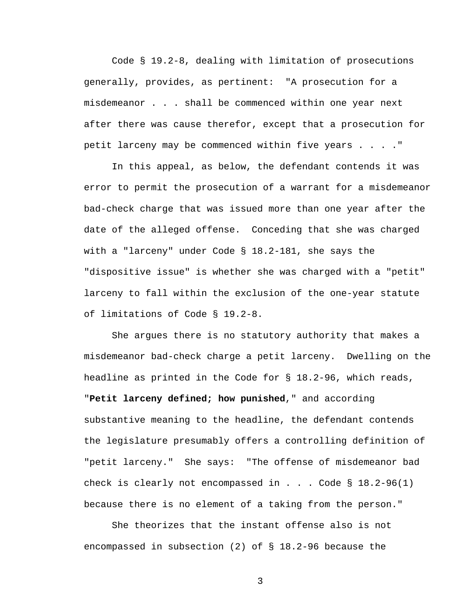Code § 19.2-8, dealing with limitation of prosecutions generally, provides, as pertinent: "A prosecution for a misdemeanor . . . shall be commenced within one year next after there was cause therefor, except that a prosecution for petit larceny may be commenced within five years . . . ."

 In this appeal, as below, the defendant contends it was error to permit the prosecution of a warrant for a misdemeanor bad-check charge that was issued more than one year after the date of the alleged offense. Conceding that she was charged with a "larceny" under Code § 18.2-181, she says the "dispositive issue" is whether she was charged with a "petit" larceny to fall within the exclusion of the one-year statute of limitations of Code § 19.2-8.

 She argues there is no statutory authority that makes a misdemeanor bad-check charge a petit larceny. Dwelling on the headline as printed in the Code for § 18.2-96, which reads, "**Petit larceny defined; how punished**," and according substantive meaning to the headline, the defendant contends the legislature presumably offers a controlling definition of "petit larceny." She says: "The offense of misdemeanor bad check is clearly not encompassed in . . . Code  $\S$  18.2-96(1) because there is no element of a taking from the person."

 She theorizes that the instant offense also is not encompassed in subsection (2) of § 18.2-96 because the

3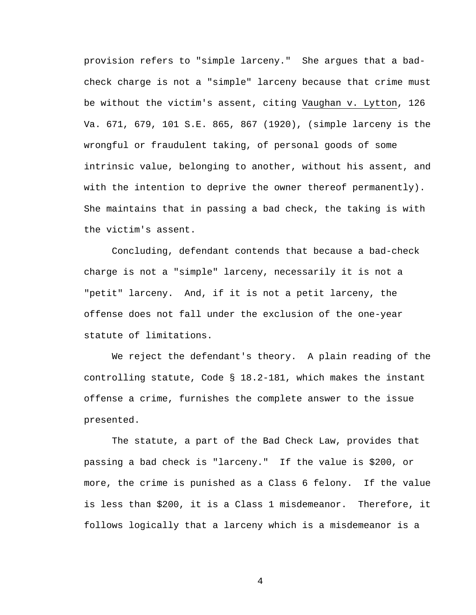provision refers to "simple larceny." She argues that a badcheck charge is not a "simple" larceny because that crime must be without the victim's assent, citing Vaughan v. Lytton, 126 Va. 671, 679, 101 S.E. 865, 867 (1920), (simple larceny is the wrongful or fraudulent taking, of personal goods of some intrinsic value, belonging to another, without his assent, and with the intention to deprive the owner thereof permanently). She maintains that in passing a bad check, the taking is with the victim's assent.

 Concluding, defendant contends that because a bad-check charge is not a "simple" larceny, necessarily it is not a "petit" larceny. And, if it is not a petit larceny, the offense does not fall under the exclusion of the one-year statute of limitations.

 We reject the defendant's theory. A plain reading of the controlling statute, Code § 18.2-181, which makes the instant offense a crime, furnishes the complete answer to the issue presented.

 The statute, a part of the Bad Check Law, provides that passing a bad check is "larceny." If the value is \$200, or more, the crime is punished as a Class 6 felony. If the value is less than \$200, it is a Class 1 misdemeanor. Therefore, it follows logically that a larceny which is a misdemeanor is a

4